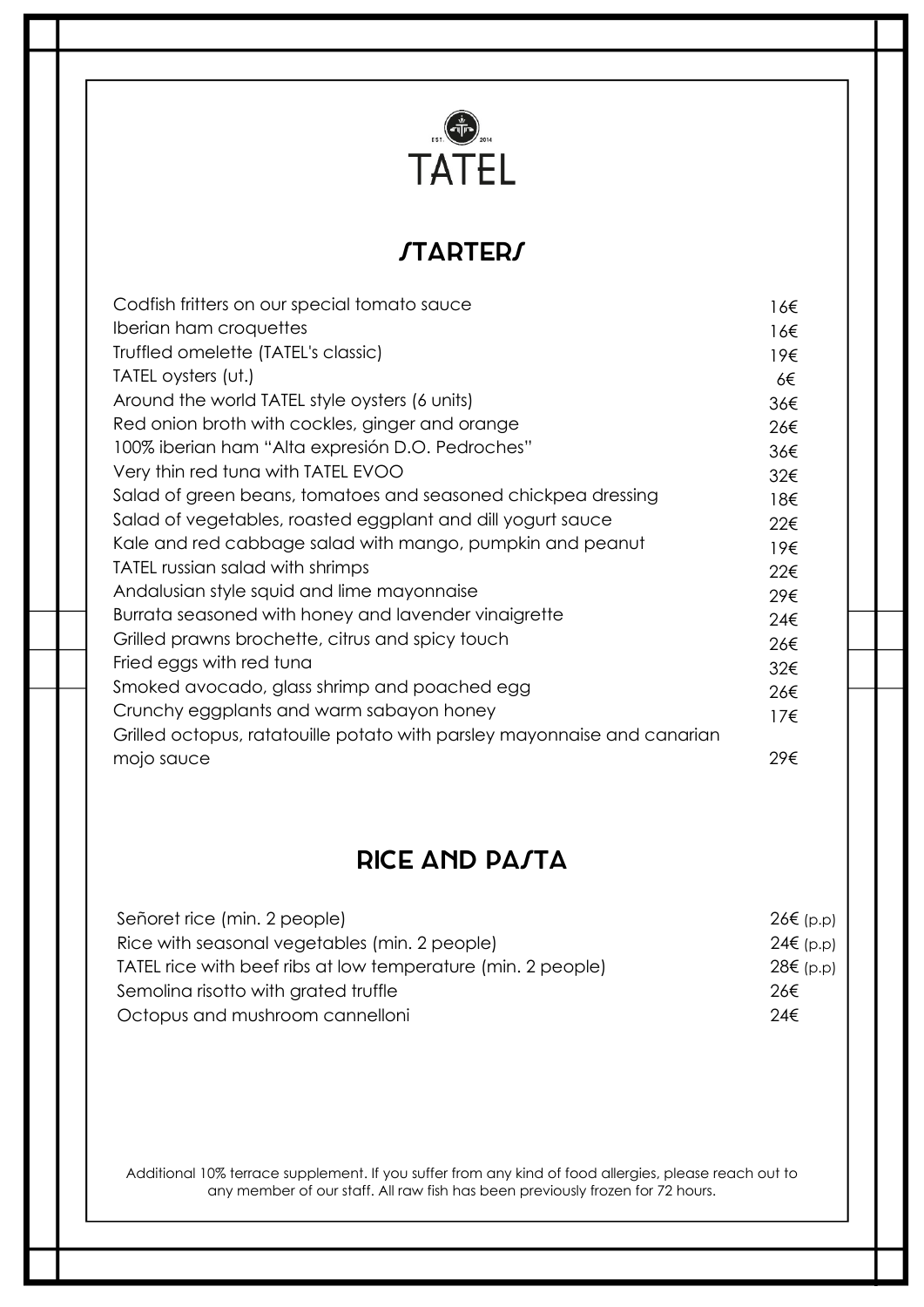

# **STARTERS**

| Codfish fritters on our special tomato sauce                             | 16€          |
|--------------------------------------------------------------------------|--------------|
| Iberian ham croquettes                                                   | 16€          |
| Truffled omelette (TATEL's classic)                                      | 19€          |
| TATEL oysters (ut.)                                                      | 6€           |
| Around the world TATEL style oysters (6 units)                           | 36€          |
| Red onion broth with cockles, ginger and orange                          | 26€          |
| 100% iberian ham "Alta expresión D.O. Pedroches"                         | 36€          |
| Very thin red tuna with TATEL EVOO                                       | 32€          |
| Salad of green beans, tomatoes and seasoned chickpea dressing            | 18€          |
| Salad of vegetables, roasted eggplant and dill yogurt sauce              | 22€          |
| Kale and red cabbage salad with mango, pumpkin and peanut                | 19€          |
| TATEL russian salad with shrimps                                         | 22€          |
| Andalusian style squid and lime mayonnaise                               | 29€          |
| Burrata seasoned with honey and lavender vinaigrette                     | 24€          |
| Grilled prawns brochette, citrus and spicy touch                         | 26€          |
| Fried eggs with red tuna                                                 | 32€          |
| Smoked avocado, glass shrimp and poached egg                             | 26€          |
| Crunchy eggplants and warm sabayon honey                                 | $17\epsilon$ |
| Grilled octopus, ratatouille potato with parsley mayonnaise and canarian |              |
| mojo sauce                                                               | 29€          |

## **RICE AND PA/TA**

| Señoret rice (min. 2 people)                                 | $26€$ (p.p) |
|--------------------------------------------------------------|-------------|
| Rice with seasonal vegetables (min. 2 people)                | $24€$ (p.p) |
| TATEL rice with beef ribs at low temperature (min. 2 people) | 28€ (p.p)   |
| Semoling risotto with grated truffle                         | 26€         |
| Octopus and mushroom cannelloni                              | 24€         |

Additional 10% terrace supplement. If you suffer from any kind of food allergies, please reach out to any member of our staff. All raw fish has been previously frozen for 72 hours.